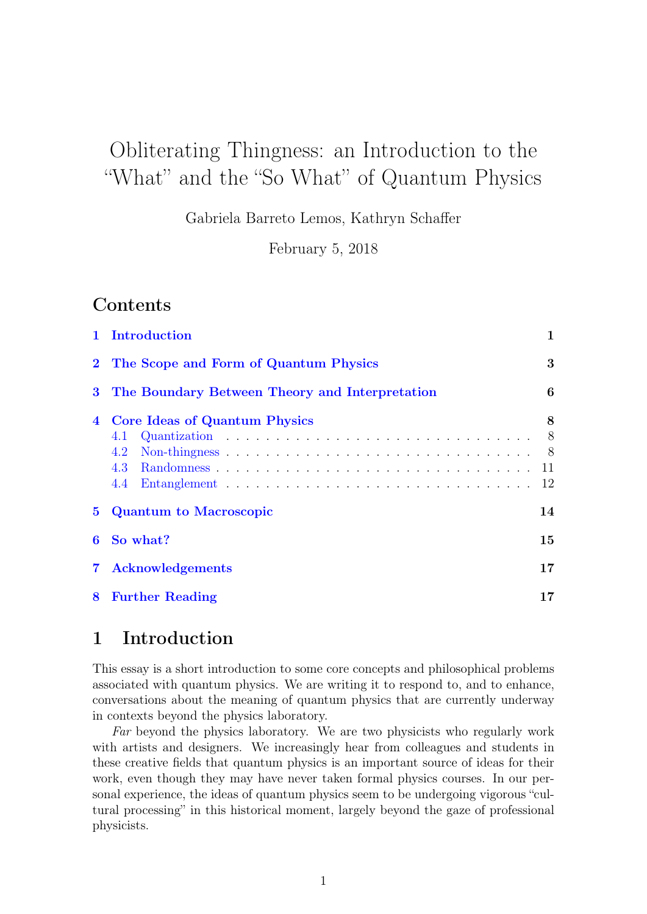# Obliterating Thingness: an Introduction to the "What" and the "So What" of Quantum Physics

Gabriela Barreto Lemos, Kathryn Schaffer

February 5, 2018

## Contents

|                | 1 Introduction                                                   | $\mathbf{1}$                           |
|----------------|------------------------------------------------------------------|----------------------------------------|
| $\mathbf{2}$   | The Scope and Form of Quantum Physics                            | 3                                      |
| $\bf{3}$       | The Boundary Between Theory and Interpretation                   | 6                                      |
| $\overline{4}$ | <b>Core Ideas of Quantum Physics</b><br>4.1<br>4.2<br>4.3<br>4.4 | 8<br>8 <sup>8</sup><br>- 8<br>11<br>12 |
| 5.             | <b>Quantum to Macroscopic</b>                                    | 14                                     |
| 6              | So what?                                                         | 15                                     |
| $\mathbf 7$    | <b>Acknowledgements</b>                                          | 17                                     |
| 8              | <b>Further Reading</b>                                           | 17                                     |
|                |                                                                  |                                        |

## <span id="page-0-0"></span>1 Introduction

This essay is a short introduction to some core concepts and philosophical problems associated with quantum physics. We are writing it to respond to, and to enhance, conversations about the meaning of quantum physics that are currently underway in contexts beyond the physics laboratory.

Far beyond the physics laboratory. We are two physicists who regularly work with artists and designers. We increasingly hear from colleagues and students in these creative fields that quantum physics is an important source of ideas for their work, even though they may have never taken formal physics courses. In our personal experience, the ideas of quantum physics seem to be undergoing vigorous "cultural processing" in this historical moment, largely beyond the gaze of professional physicists.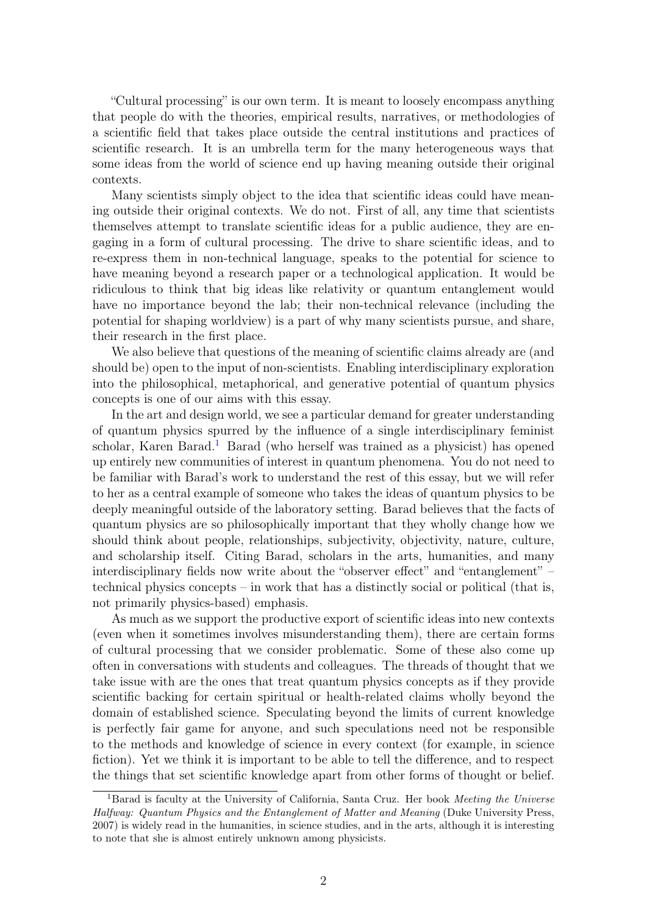"Cultural processing" is our own term. It is meant to loosely encompass anything that people do with the theories, empirical results, narratives, or methodologies of a scientific field that takes place outside the central institutions and practices of scientific research. It is an umbrella term for the many heterogeneous ways that some ideas from the world of science end up having meaning outside their original contexts.

Many scientists simply object to the idea that scientific ideas could have meaning outside their original contexts. We do not. First of all, any time that scientists themselves attempt to translate scientific ideas for a public audience, they are engaging in a form of cultural processing. The drive to share scientific ideas, and to re-express them in non-technical language, speaks to the potential for science to have meaning beyond a research paper or a technological application. It would be ridiculous to think that big ideas like relativity or quantum entanglement would have no importance beyond the lab; their non-technical relevance (including the potential for shaping worldview) is a part of why many scientists pursue, and share, their research in the first place.

We also believe that questions of the meaning of scientific claims already are (and should be) open to the input of non-scientists. Enabling interdisciplinary exploration into the philosophical, metaphorical, and generative potential of quantum physics concepts is one of our aims with this essay.

In the art and design world, we see a particular demand for greater understanding of quantum physics spurred by the influence of a single interdisciplinary feminist scholar, Karen Barad.<sup>[1](#page-1-0)</sup> Barad (who herself was trained as a physicist) has opened up entirely new communities of interest in quantum phenomena. You do not need to be familiar with Barad's work to understand the rest of this essay, but we will refer to her as a central example of someone who takes the ideas of quantum physics to be deeply meaningful outside of the laboratory setting. Barad believes that the facts of quantum physics are so philosophically important that they wholly change how we should think about people, relationships, subjectivity, objectivity, nature, culture, and scholarship itself. Citing Barad, scholars in the arts, humanities, and many interdisciplinary fields now write about the "observer effect" and "entanglement" – technical physics concepts – in work that has a distinctly social or political (that is, not primarily physics-based) emphasis.

As much as we support the productive export of scientific ideas into new contexts (even when it sometimes involves misunderstanding them), there are certain forms of cultural processing that we consider problematic. Some of these also come up often in conversations with students and colleagues. The threads of thought that we take issue with are the ones that treat quantum physics concepts as if they provide scientific backing for certain spiritual or health-related claims wholly beyond the domain of established science. Speculating beyond the limits of current knowledge is perfectly fair game for anyone, and such speculations need not be responsible to the methods and knowledge of science in every context (for example, in science fiction). Yet we think it is important to be able to tell the difference, and to respect the things that set scientific knowledge apart from other forms of thought or belief.

<span id="page-1-0"></span><sup>&</sup>lt;sup>1</sup>Barad is faculty at the University of California, Santa Cruz. Her book Meeting the Universe Halfway: Quantum Physics and the Entanglement of Matter and Meaning (Duke University Press, 2007) is widely read in the humanities, in science studies, and in the arts, although it is interesting to note that she is almost entirely unknown among physicists.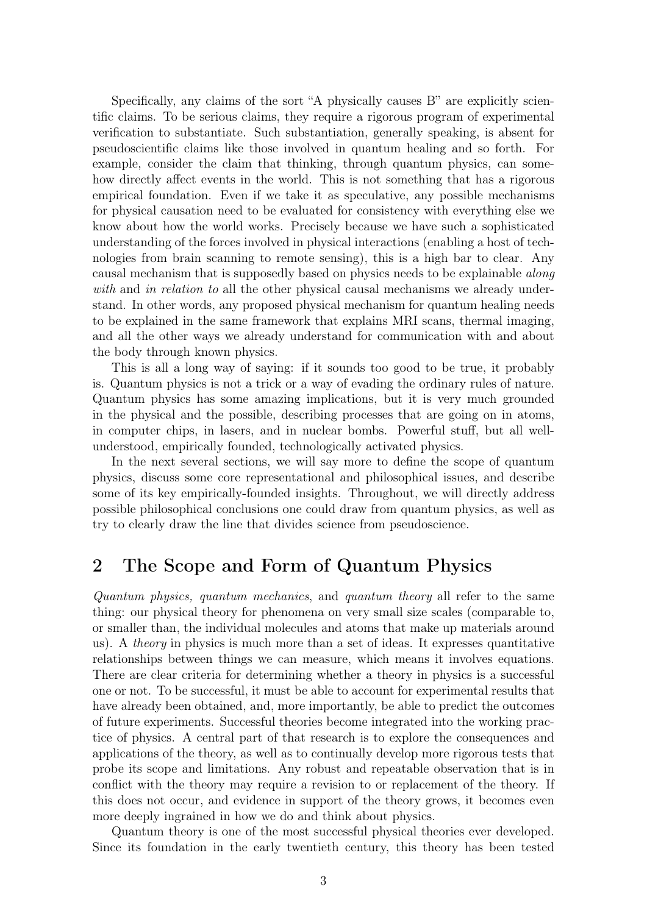Specifically, any claims of the sort "A physically causes B" are explicitly scientific claims. To be serious claims, they require a rigorous program of experimental verification to substantiate. Such substantiation, generally speaking, is absent for pseudoscientific claims like those involved in quantum healing and so forth. For example, consider the claim that thinking, through quantum physics, can somehow directly affect events in the world. This is not something that has a rigorous empirical foundation. Even if we take it as speculative, any possible mechanisms for physical causation need to be evaluated for consistency with everything else we know about how the world works. Precisely because we have such a sophisticated understanding of the forces involved in physical interactions (enabling a host of technologies from brain scanning to remote sensing), this is a high bar to clear. Any causal mechanism that is supposedly based on physics needs to be explainable along with and in relation to all the other physical causal mechanisms we already understand. In other words, any proposed physical mechanism for quantum healing needs to be explained in the same framework that explains MRI scans, thermal imaging, and all the other ways we already understand for communication with and about the body through known physics.

This is all a long way of saying: if it sounds too good to be true, it probably is. Quantum physics is not a trick or a way of evading the ordinary rules of nature. Quantum physics has some amazing implications, but it is very much grounded in the physical and the possible, describing processes that are going on in atoms, in computer chips, in lasers, and in nuclear bombs. Powerful stuff, but all wellunderstood, empirically founded, technologically activated physics.

In the next several sections, we will say more to define the scope of quantum physics, discuss some core representational and philosophical issues, and describe some of its key empirically-founded insights. Throughout, we will directly address possible philosophical conclusions one could draw from quantum physics, as well as try to clearly draw the line that divides science from pseudoscience.

## <span id="page-2-0"></span>2 The Scope and Form of Quantum Physics

Quantum physics, quantum mechanics, and quantum theory all refer to the same thing: our physical theory for phenomena on very small size scales (comparable to, or smaller than, the individual molecules and atoms that make up materials around us). A *theory* in physics is much more than a set of ideas. It expresses quantitative relationships between things we can measure, which means it involves equations. There are clear criteria for determining whether a theory in physics is a successful one or not. To be successful, it must be able to account for experimental results that have already been obtained, and, more importantly, be able to predict the outcomes of future experiments. Successful theories become integrated into the working practice of physics. A central part of that research is to explore the consequences and applications of the theory, as well as to continually develop more rigorous tests that probe its scope and limitations. Any robust and repeatable observation that is in conflict with the theory may require a revision to or replacement of the theory. If this does not occur, and evidence in support of the theory grows, it becomes even more deeply ingrained in how we do and think about physics.

Quantum theory is one of the most successful physical theories ever developed. Since its foundation in the early twentieth century, this theory has been tested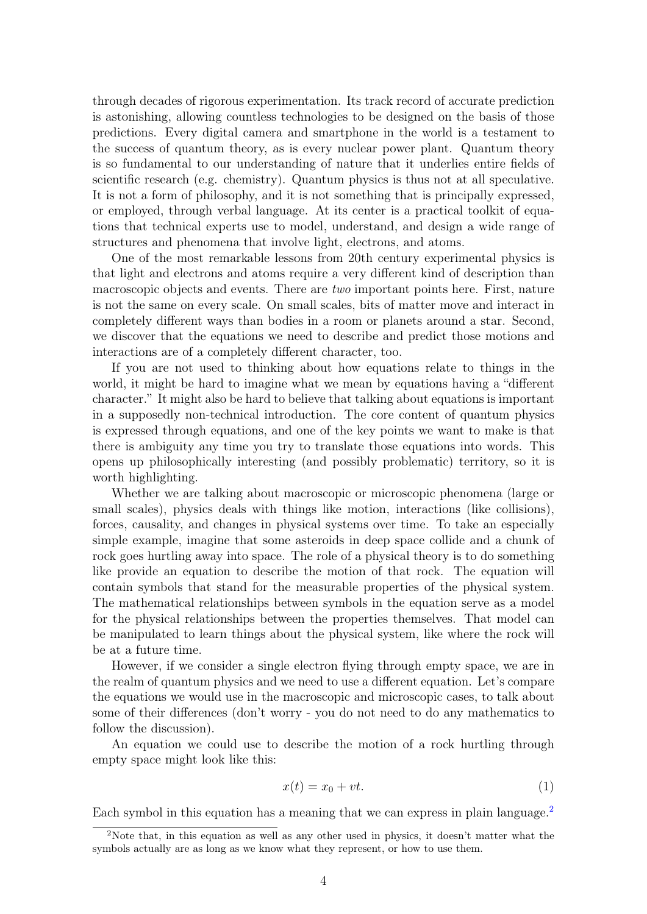through decades of rigorous experimentation. Its track record of accurate prediction is astonishing, allowing countless technologies to be designed on the basis of those predictions. Every digital camera and smartphone in the world is a testament to the success of quantum theory, as is every nuclear power plant. Quantum theory is so fundamental to our understanding of nature that it underlies entire fields of scientific research (e.g. chemistry). Quantum physics is thus not at all speculative. It is not a form of philosophy, and it is not something that is principally expressed, or employed, through verbal language. At its center is a practical toolkit of equations that technical experts use to model, understand, and design a wide range of structures and phenomena that involve light, electrons, and atoms.

One of the most remarkable lessons from 20th century experimental physics is that light and electrons and atoms require a very different kind of description than macroscopic objects and events. There are two important points here. First, nature is not the same on every scale. On small scales, bits of matter move and interact in completely different ways than bodies in a room or planets around a star. Second, we discover that the equations we need to describe and predict those motions and interactions are of a completely different character, too.

If you are not used to thinking about how equations relate to things in the world, it might be hard to imagine what we mean by equations having a "different character." It might also be hard to believe that talking about equations is important in a supposedly non-technical introduction. The core content of quantum physics is expressed through equations, and one of the key points we want to make is that there is ambiguity any time you try to translate those equations into words. This opens up philosophically interesting (and possibly problematic) territory, so it is worth highlighting.

Whether we are talking about macroscopic or microscopic phenomena (large or small scales), physics deals with things like motion, interactions (like collisions), forces, causality, and changes in physical systems over time. To take an especially simple example, imagine that some asteroids in deep space collide and a chunk of rock goes hurtling away into space. The role of a physical theory is to do something like provide an equation to describe the motion of that rock. The equation will contain symbols that stand for the measurable properties of the physical system. The mathematical relationships between symbols in the equation serve as a model for the physical relationships between the properties themselves. That model can be manipulated to learn things about the physical system, like where the rock will be at a future time.

However, if we consider a single electron flying through empty space, we are in the realm of quantum physics and we need to use a different equation. Let's compare the equations we would use in the macroscopic and microscopic cases, to talk about some of their differences (don't worry - you do not need to do any mathematics to follow the discussion).

An equation we could use to describe the motion of a rock hurtling through empty space might look like this:

$$
x(t) = x_0 + vt.
$$
 (1)

Each symbol in this equation has a meaning that we can express in plain language.<sup>[2](#page-3-0)</sup>

<span id="page-3-0"></span><sup>&</sup>lt;sup>2</sup>Note that, in this equation as well as any other used in physics, it doesn't matter what the symbols actually are as long as we know what they represent, or how to use them.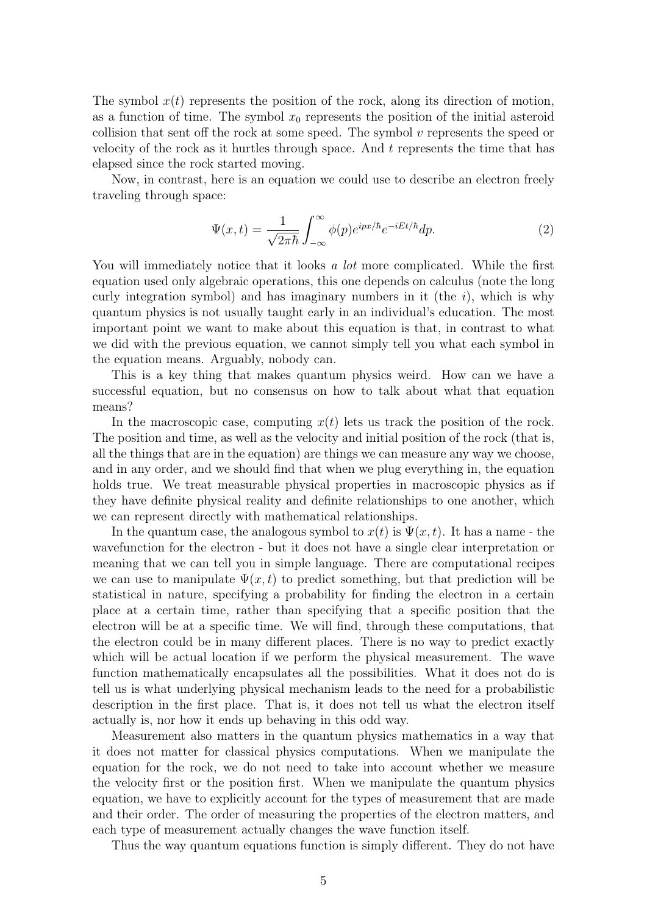The symbol  $x(t)$  represents the position of the rock, along its direction of motion, as a function of time. The symbol  $x_0$  represents the position of the initial asteroid collision that sent off the rock at some speed. The symbol  $v$  represents the speed or velocity of the rock as it hurtles through space. And  $t$  represents the time that has elapsed since the rock started moving.

Now, in contrast, here is an equation we could use to describe an electron freely traveling through space:

$$
\Psi(x,t) = \frac{1}{\sqrt{2\pi\hbar}} \int_{-\infty}^{\infty} \phi(p)e^{ipx/\hbar}e^{-iEt/\hbar}dp.
$$
 (2)

You will immediately notice that it looks a lot more complicated. While the first equation used only algebraic operations, this one depends on calculus (note the long curly integration symbol) and has imaginary numbers in it (the  $i$ ), which is why quantum physics is not usually taught early in an individual's education. The most important point we want to make about this equation is that, in contrast to what we did with the previous equation, we cannot simply tell you what each symbol in the equation means. Arguably, nobody can.

This is a key thing that makes quantum physics weird. How can we have a successful equation, but no consensus on how to talk about what that equation means?

In the macroscopic case, computing  $x(t)$  lets us track the position of the rock. The position and time, as well as the velocity and initial position of the rock (that is, all the things that are in the equation) are things we can measure any way we choose, and in any order, and we should find that when we plug everything in, the equation holds true. We treat measurable physical properties in macroscopic physics as if they have definite physical reality and definite relationships to one another, which we can represent directly with mathematical relationships.

In the quantum case, the analogous symbol to  $x(t)$  is  $\Psi(x, t)$ . It has a name - the wavefunction for the electron - but it does not have a single clear interpretation or meaning that we can tell you in simple language. There are computational recipes we can use to manipulate  $\Psi(x, t)$  to predict something, but that prediction will be statistical in nature, specifying a probability for finding the electron in a certain place at a certain time, rather than specifying that a specific position that the electron will be at a specific time. We will find, through these computations, that the electron could be in many different places. There is no way to predict exactly which will be actual location if we perform the physical measurement. The wave function mathematically encapsulates all the possibilities. What it does not do is tell us is what underlying physical mechanism leads to the need for a probabilistic description in the first place. That is, it does not tell us what the electron itself actually is, nor how it ends up behaving in this odd way.

Measurement also matters in the quantum physics mathematics in a way that it does not matter for classical physics computations. When we manipulate the equation for the rock, we do not need to take into account whether we measure the velocity first or the position first. When we manipulate the quantum physics equation, we have to explicitly account for the types of measurement that are made and their order. The order of measuring the properties of the electron matters, and each type of measurement actually changes the wave function itself.

Thus the way quantum equations function is simply different. They do not have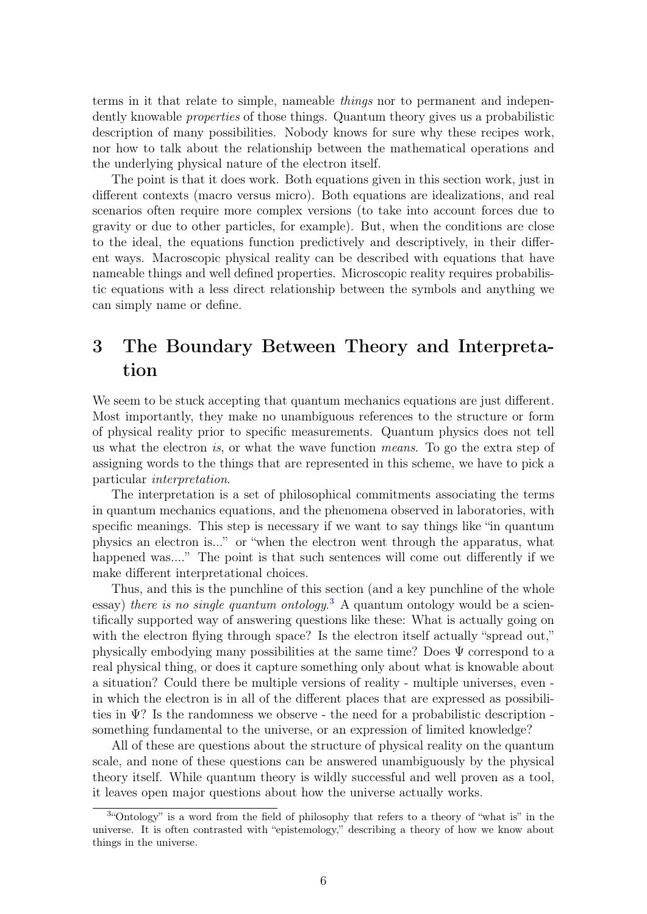terms in it that relate to simple, nameable things nor to permanent and independently knowable *properties* of those things. Quantum theory gives us a probabilistic description of many possibilities. Nobody knows for sure why these recipes work, nor how to talk about the relationship between the mathematical operations and the underlying physical nature of the electron itself.

The point is that it does work. Both equations given in this section work, just in different contexts (macro versus micro). Both equations are idealizations, and real scenarios often require more complex versions (to take into account forces due to gravity or due to other particles, for example). But, when the conditions are close to the ideal, the equations function predictively and descriptively, in their different ways. Macroscopic physical reality can be described with equations that have nameable things and well defined properties. Microscopic reality requires probabilistic equations with a less direct relationship between the symbols and anything we can simply name or define.

## <span id="page-5-0"></span>3 The Boundary Between Theory and Interpretation

We seem to be stuck accepting that quantum mechanics equations are just different. Most importantly, they make no unambiguous references to the structure or form of physical reality prior to specific measurements. Quantum physics does not tell us what the electron is, or what the wave function means. To go the extra step of assigning words to the things that are represented in this scheme, we have to pick a particular interpretation.

The interpretation is a set of philosophical commitments associating the terms in quantum mechanics equations, and the phenomena observed in laboratories, with specific meanings. This step is necessary if we want to say things like "in quantum physics an electron is..." or "when the electron went through the apparatus, what happened was...." The point is that such sentences will come out differently if we make different interpretational choices.

Thus, and this is the punchline of this section (and a key punchline of the whole essay) there is no single quantum ontology.<sup>[3](#page-5-1)</sup> A quantum ontology would be a scientifically supported way of answering questions like these: What is actually going on with the electron flying through space? Is the electron itself actually "spread out," physically embodying many possibilities at the same time? Does  $\Psi$  correspond to a real physical thing, or does it capture something only about what is knowable about a situation? Could there be multiple versions of reality - multiple universes, even in which the electron is in all of the different places that are expressed as possibilities in  $\Psi$ ? Is the randomness we observe - the need for a probabilistic description something fundamental to the universe, or an expression of limited knowledge?

All of these are questions about the structure of physical reality on the quantum scale, and none of these questions can be answered unambiguously by the physical theory itself. While quantum theory is wildly successful and well proven as a tool, it leaves open major questions about how the universe actually works.

<span id="page-5-1"></span><sup>&</sup>lt;sup>3</sup>"Ontology" is a word from the field of philosophy that refers to a theory of "what is" in the universe. It is often contrasted with "epistemology," describing a theory of how we know about things in the universe.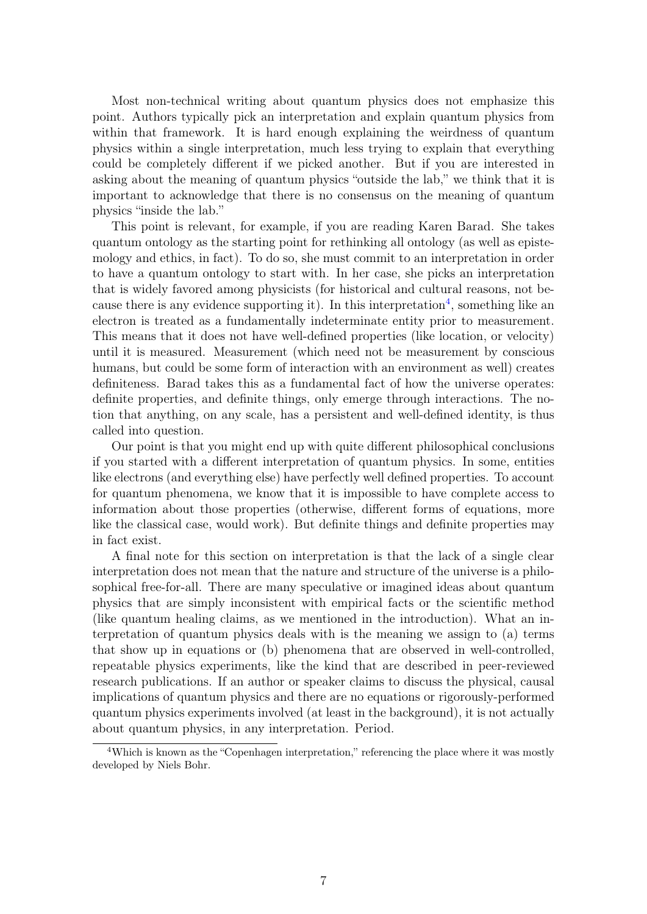Most non-technical writing about quantum physics does not emphasize this point. Authors typically pick an interpretation and explain quantum physics from within that framework. It is hard enough explaining the weirdness of quantum physics within a single interpretation, much less trying to explain that everything could be completely different if we picked another. But if you are interested in asking about the meaning of quantum physics "outside the lab," we think that it is important to acknowledge that there is no consensus on the meaning of quantum physics "inside the lab."

This point is relevant, for example, if you are reading Karen Barad. She takes quantum ontology as the starting point for rethinking all ontology (as well as epistemology and ethics, in fact). To do so, she must commit to an interpretation in order to have a quantum ontology to start with. In her case, she picks an interpretation that is widely favored among physicists (for historical and cultural reasons, not be-cause there is any evidence supporting it). In this interpretation<sup>[4](#page-6-0)</sup>, something like an electron is treated as a fundamentally indeterminate entity prior to measurement. This means that it does not have well-defined properties (like location, or velocity) until it is measured. Measurement (which need not be measurement by conscious humans, but could be some form of interaction with an environment as well) creates definiteness. Barad takes this as a fundamental fact of how the universe operates: definite properties, and definite things, only emerge through interactions. The notion that anything, on any scale, has a persistent and well-defined identity, is thus called into question.

Our point is that you might end up with quite different philosophical conclusions if you started with a different interpretation of quantum physics. In some, entities like electrons (and everything else) have perfectly well defined properties. To account for quantum phenomena, we know that it is impossible to have complete access to information about those properties (otherwise, different forms of equations, more like the classical case, would work). But definite things and definite properties may in fact exist.

A final note for this section on interpretation is that the lack of a single clear interpretation does not mean that the nature and structure of the universe is a philosophical free-for-all. There are many speculative or imagined ideas about quantum physics that are simply inconsistent with empirical facts or the scientific method (like quantum healing claims, as we mentioned in the introduction). What an interpretation of quantum physics deals with is the meaning we assign to (a) terms that show up in equations or (b) phenomena that are observed in well-controlled, repeatable physics experiments, like the kind that are described in peer-reviewed research publications. If an author or speaker claims to discuss the physical, causal implications of quantum physics and there are no equations or rigorously-performed quantum physics experiments involved (at least in the background), it is not actually about quantum physics, in any interpretation. Period.

<span id="page-6-0"></span><sup>&</sup>lt;sup>4</sup>Which is known as the "Copenhagen interpretation," referencing the place where it was mostly developed by Niels Bohr.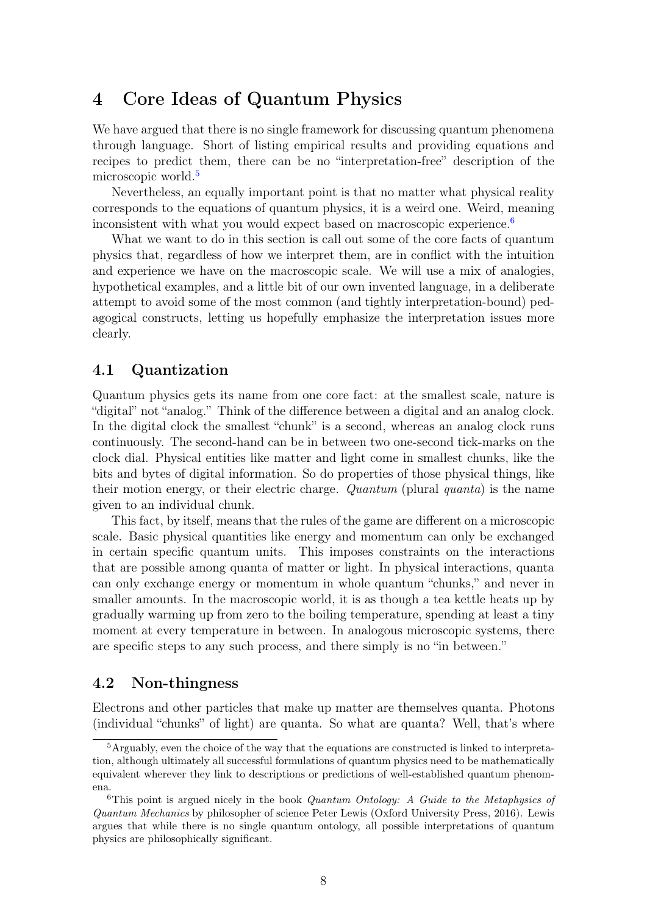## <span id="page-7-0"></span>4 Core Ideas of Quantum Physics

We have argued that there is no single framework for discussing quantum phenomena through language. Short of listing empirical results and providing equations and recipes to predict them, there can be no "interpretation-free" description of the microscopic world.<sup>[5](#page-7-3)</sup>

Nevertheless, an equally important point is that no matter what physical reality corresponds to the equations of quantum physics, it is a weird one. Weird, meaning inconsistent with what you would expect based on macroscopic experience.<sup>[6](#page-7-4)</sup>

What we want to do in this section is call out some of the core facts of quantum physics that, regardless of how we interpret them, are in conflict with the intuition and experience we have on the macroscopic scale. We will use a mix of analogies, hypothetical examples, and a little bit of our own invented language, in a deliberate attempt to avoid some of the most common (and tightly interpretation-bound) pedagogical constructs, letting us hopefully emphasize the interpretation issues more clearly.

#### <span id="page-7-1"></span>4.1 Quantization

Quantum physics gets its name from one core fact: at the smallest scale, nature is "digital" not "analog." Think of the difference between a digital and an analog clock. In the digital clock the smallest "chunk" is a second, whereas an analog clock runs continuously. The second-hand can be in between two one-second tick-marks on the clock dial. Physical entities like matter and light come in smallest chunks, like the bits and bytes of digital information. So do properties of those physical things, like their motion energy, or their electric charge. Quantum (plural quanta) is the name given to an individual chunk.

This fact, by itself, means that the rules of the game are different on a microscopic scale. Basic physical quantities like energy and momentum can only be exchanged in certain specific quantum units. This imposes constraints on the interactions that are possible among quanta of matter or light. In physical interactions, quanta can only exchange energy or momentum in whole quantum "chunks," and never in smaller amounts. In the macroscopic world, it is as though a tea kettle heats up by gradually warming up from zero to the boiling temperature, spending at least a tiny moment at every temperature in between. In analogous microscopic systems, there are specific steps to any such process, and there simply is no "in between."

#### <span id="page-7-2"></span>4.2 Non-thingness

Electrons and other particles that make up matter are themselves quanta. Photons (individual "chunks" of light) are quanta. So what are quanta? Well, that's where

<span id="page-7-3"></span><sup>5</sup>Arguably, even the choice of the way that the equations are constructed is linked to interpretation, although ultimately all successful formulations of quantum physics need to be mathematically equivalent wherever they link to descriptions or predictions of well-established quantum phenomena.

<span id="page-7-4"></span><sup>&</sup>lt;sup>6</sup>This point is argued nicely in the book *Quantum Ontology: A Guide to the Metaphysics of* Quantum Mechanics by philosopher of science Peter Lewis (Oxford University Press, 2016). Lewis argues that while there is no single quantum ontology, all possible interpretations of quantum physics are philosophically significant.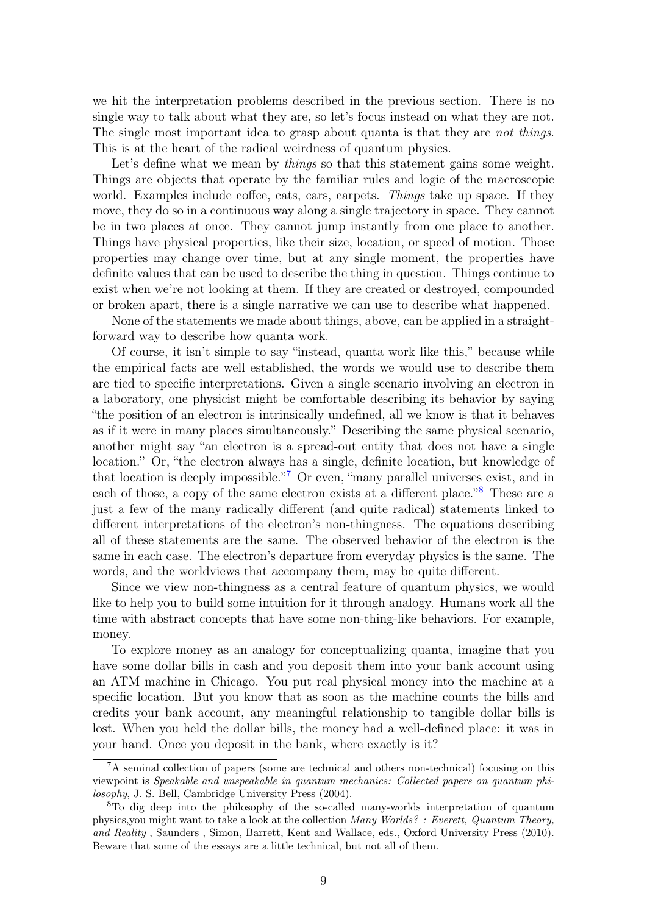we hit the interpretation problems described in the previous section. There is no single way to talk about what they are, so let's focus instead on what they are not. The single most important idea to grasp about quanta is that they are not things. This is at the heart of the radical weirdness of quantum physics.

Let's define what we mean by *things* so that this statement gains some weight. Things are objects that operate by the familiar rules and logic of the macroscopic world. Examples include coffee, cats, cars, carpets. Things take up space. If they move, they do so in a continuous way along a single trajectory in space. They cannot be in two places at once. They cannot jump instantly from one place to another. Things have physical properties, like their size, location, or speed of motion. Those properties may change over time, but at any single moment, the properties have definite values that can be used to describe the thing in question. Things continue to exist when we're not looking at them. If they are created or destroyed, compounded or broken apart, there is a single narrative we can use to describe what happened.

None of the statements we made about things, above, can be applied in a straightforward way to describe how quanta work.

Of course, it isn't simple to say "instead, quanta work like this," because while the empirical facts are well established, the words we would use to describe them are tied to specific interpretations. Given a single scenario involving an electron in a laboratory, one physicist might be comfortable describing its behavior by saying "the position of an electron is intrinsically undefined, all we know is that it behaves as if it were in many places simultaneously." Describing the same physical scenario, another might say "an electron is a spread-out entity that does not have a single location." Or, "the electron always has a single, definite location, but knowledge of that location is deeply impossible."<sup>[7](#page-8-0)</sup> Or even, "many parallel universes exist, and in each of those, a copy of the same electron exists at a different place."<sup>[8](#page-8-1)</sup> These are a just a few of the many radically different (and quite radical) statements linked to different interpretations of the electron's non-thingness. The equations describing all of these statements are the same. The observed behavior of the electron is the same in each case. The electron's departure from everyday physics is the same. The words, and the worldviews that accompany them, may be quite different.

Since we view non-thingness as a central feature of quantum physics, we would like to help you to build some intuition for it through analogy. Humans work all the time with abstract concepts that have some non-thing-like behaviors. For example, money.

To explore money as an analogy for conceptualizing quanta, imagine that you have some dollar bills in cash and you deposit them into your bank account using an ATM machine in Chicago. You put real physical money into the machine at a specific location. But you know that as soon as the machine counts the bills and credits your bank account, any meaningful relationship to tangible dollar bills is lost. When you held the dollar bills, the money had a well-defined place: it was in your hand. Once you deposit in the bank, where exactly is it?

<span id="page-8-0"></span> ${}^{7}$ A seminal collection of papers (some are technical and others non-technical) focusing on this viewpoint is Speakable and unspeakable in quantum mechanics: Collected papers on quantum philosophy, J. S. Bell, Cambridge University Press (2004).

<span id="page-8-1"></span><sup>8</sup>To dig deep into the philosophy of the so-called many-worlds interpretation of quantum physics,you might want to take a look at the collection Many Worlds? : Everett, Quantum Theory, and Reality , Saunders , Simon, Barrett, Kent and Wallace, eds., Oxford University Press (2010). Beware that some of the essays are a little technical, but not all of them.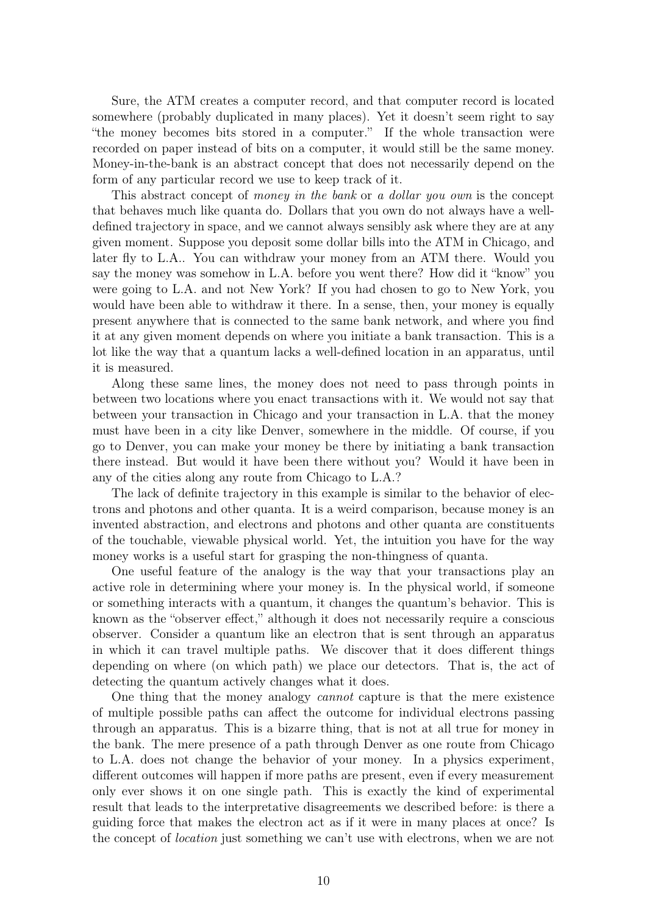Sure, the ATM creates a computer record, and that computer record is located somewhere (probably duplicated in many places). Yet it doesn't seem right to say "the money becomes bits stored in a computer." If the whole transaction were recorded on paper instead of bits on a computer, it would still be the same money. Money-in-the-bank is an abstract concept that does not necessarily depend on the form of any particular record we use to keep track of it.

This abstract concept of money in the bank or a dollar you own is the concept that behaves much like quanta do. Dollars that you own do not always have a welldefined trajectory in space, and we cannot always sensibly ask where they are at any given moment. Suppose you deposit some dollar bills into the ATM in Chicago, and later fly to L.A.. You can withdraw your money from an ATM there. Would you say the money was somehow in L.A. before you went there? How did it "know" you were going to L.A. and not New York? If you had chosen to go to New York, you would have been able to withdraw it there. In a sense, then, your money is equally present anywhere that is connected to the same bank network, and where you find it at any given moment depends on where you initiate a bank transaction. This is a lot like the way that a quantum lacks a well-defined location in an apparatus, until it is measured.

Along these same lines, the money does not need to pass through points in between two locations where you enact transactions with it. We would not say that between your transaction in Chicago and your transaction in L.A. that the money must have been in a city like Denver, somewhere in the middle. Of course, if you go to Denver, you can make your money be there by initiating a bank transaction there instead. But would it have been there without you? Would it have been in any of the cities along any route from Chicago to L.A.?

The lack of definite trajectory in this example is similar to the behavior of electrons and photons and other quanta. It is a weird comparison, because money is an invented abstraction, and electrons and photons and other quanta are constituents of the touchable, viewable physical world. Yet, the intuition you have for the way money works is a useful start for grasping the non-thingness of quanta.

One useful feature of the analogy is the way that your transactions play an active role in determining where your money is. In the physical world, if someone or something interacts with a quantum, it changes the quantum's behavior. This is known as the "observer effect," although it does not necessarily require a conscious observer. Consider a quantum like an electron that is sent through an apparatus in which it can travel multiple paths. We discover that it does different things depending on where (on which path) we place our detectors. That is, the act of detecting the quantum actively changes what it does.

One thing that the money analogy cannot capture is that the mere existence of multiple possible paths can affect the outcome for individual electrons passing through an apparatus. This is a bizarre thing, that is not at all true for money in the bank. The mere presence of a path through Denver as one route from Chicago to L.A. does not change the behavior of your money. In a physics experiment, different outcomes will happen if more paths are present, even if every measurement only ever shows it on one single path. This is exactly the kind of experimental result that leads to the interpretative disagreements we described before: is there a guiding force that makes the electron act as if it were in many places at once? Is the concept of location just something we can't use with electrons, when we are not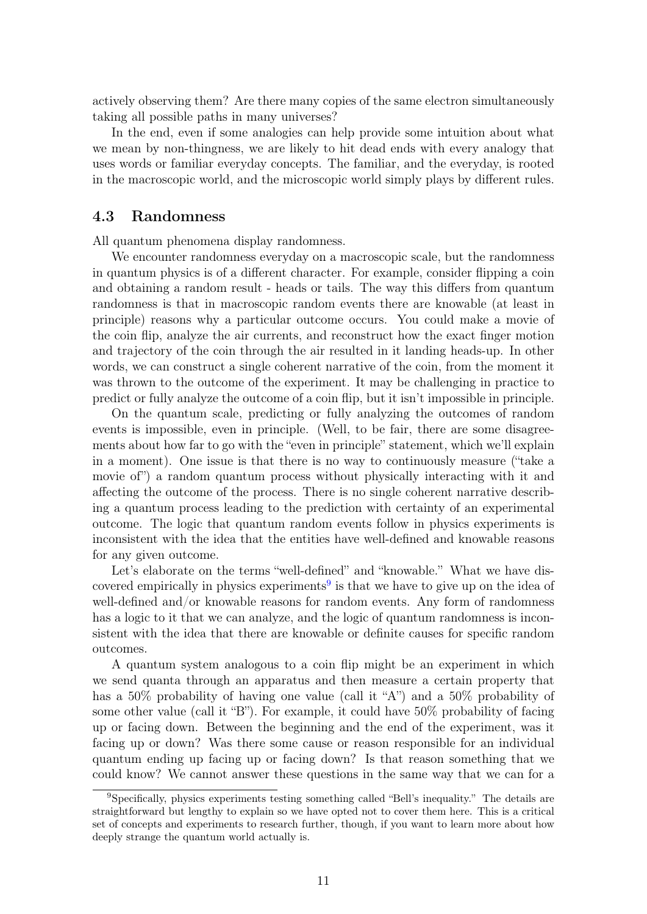actively observing them? Are there many copies of the same electron simultaneously taking all possible paths in many universes?

In the end, even if some analogies can help provide some intuition about what we mean by non-thingness, we are likely to hit dead ends with every analogy that uses words or familiar everyday concepts. The familiar, and the everyday, is rooted in the macroscopic world, and the microscopic world simply plays by different rules.

#### <span id="page-10-0"></span>4.3 Randomness

All quantum phenomena display randomness.

We encounter randomness everyday on a macroscopic scale, but the randomness in quantum physics is of a different character. For example, consider flipping a coin and obtaining a random result - heads or tails. The way this differs from quantum randomness is that in macroscopic random events there are knowable (at least in principle) reasons why a particular outcome occurs. You could make a movie of the coin flip, analyze the air currents, and reconstruct how the exact finger motion and trajectory of the coin through the air resulted in it landing heads-up. In other words, we can construct a single coherent narrative of the coin, from the moment it was thrown to the outcome of the experiment. It may be challenging in practice to predict or fully analyze the outcome of a coin flip, but it isn't impossible in principle.

On the quantum scale, predicting or fully analyzing the outcomes of random events is impossible, even in principle. (Well, to be fair, there are some disagreements about how far to go with the "even in principle" statement, which we'll explain in a moment). One issue is that there is no way to continuously measure ("take a movie of") a random quantum process without physically interacting with it and affecting the outcome of the process. There is no single coherent narrative describing a quantum process leading to the prediction with certainty of an experimental outcome. The logic that quantum random events follow in physics experiments is inconsistent with the idea that the entities have well-defined and knowable reasons for any given outcome.

Let's elaborate on the terms "well-defined" and "knowable." What we have dis-covered empirically in physics experiments<sup>[9](#page-10-1)</sup> is that we have to give up on the idea of well-defined and/or knowable reasons for random events. Any form of randomness has a logic to it that we can analyze, and the logic of quantum randomness is inconsistent with the idea that there are knowable or definite causes for specific random outcomes.

A quantum system analogous to a coin flip might be an experiment in which we send quanta through an apparatus and then measure a certain property that has a 50% probability of having one value (call it "A") and a 50% probability of some other value (call it "B"). For example, it could have 50% probability of facing up or facing down. Between the beginning and the end of the experiment, was it facing up or down? Was there some cause or reason responsible for an individual quantum ending up facing up or facing down? Is that reason something that we could know? We cannot answer these questions in the same way that we can for a

<span id="page-10-1"></span><sup>9</sup>Specifically, physics experiments testing something called "Bell's inequality." The details are straightforward but lengthy to explain so we have opted not to cover them here. This is a critical set of concepts and experiments to research further, though, if you want to learn more about how deeply strange the quantum world actually is.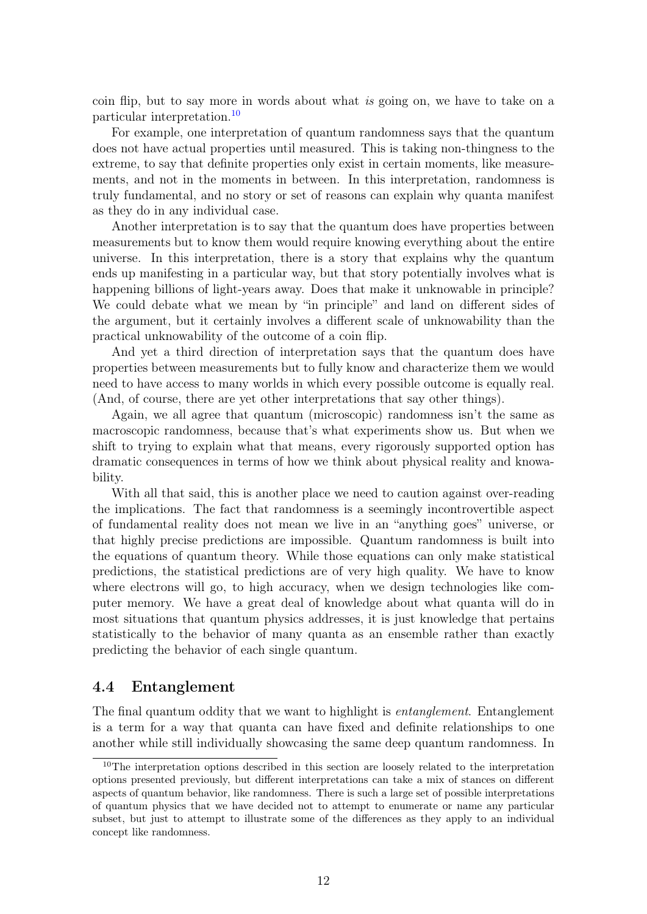coin flip, but to say more in words about what is going on, we have to take on a particular interpretation.[10](#page-11-1)

For example, one interpretation of quantum randomness says that the quantum does not have actual properties until measured. This is taking non-thingness to the extreme, to say that definite properties only exist in certain moments, like measurements, and not in the moments in between. In this interpretation, randomness is truly fundamental, and no story or set of reasons can explain why quanta manifest as they do in any individual case.

Another interpretation is to say that the quantum does have properties between measurements but to know them would require knowing everything about the entire universe. In this interpretation, there is a story that explains why the quantum ends up manifesting in a particular way, but that story potentially involves what is happening billions of light-years away. Does that make it unknowable in principle? We could debate what we mean by "in principle" and land on different sides of the argument, but it certainly involves a different scale of unknowability than the practical unknowability of the outcome of a coin flip.

And yet a third direction of interpretation says that the quantum does have properties between measurements but to fully know and characterize them we would need to have access to many worlds in which every possible outcome is equally real. (And, of course, there are yet other interpretations that say other things).

Again, we all agree that quantum (microscopic) randomness isn't the same as macroscopic randomness, because that's what experiments show us. But when we shift to trying to explain what that means, every rigorously supported option has dramatic consequences in terms of how we think about physical reality and knowability.

With all that said, this is another place we need to caution against over-reading the implications. The fact that randomness is a seemingly incontrovertible aspect of fundamental reality does not mean we live in an "anything goes" universe, or that highly precise predictions are impossible. Quantum randomness is built into the equations of quantum theory. While those equations can only make statistical predictions, the statistical predictions are of very high quality. We have to know where electrons will go, to high accuracy, when we design technologies like computer memory. We have a great deal of knowledge about what quanta will do in most situations that quantum physics addresses, it is just knowledge that pertains statistically to the behavior of many quanta as an ensemble rather than exactly predicting the behavior of each single quantum.

#### <span id="page-11-0"></span>4.4 Entanglement

The final quantum oddity that we want to highlight is *entanglement*. Entanglement is a term for a way that quanta can have fixed and definite relationships to one another while still individually showcasing the same deep quantum randomness. In

<span id="page-11-1"></span><sup>&</sup>lt;sup>10</sup>The interpretation options described in this section are loosely related to the interpretation options presented previously, but different interpretations can take a mix of stances on different aspects of quantum behavior, like randomness. There is such a large set of possible interpretations of quantum physics that we have decided not to attempt to enumerate or name any particular subset, but just to attempt to illustrate some of the differences as they apply to an individual concept like randomness.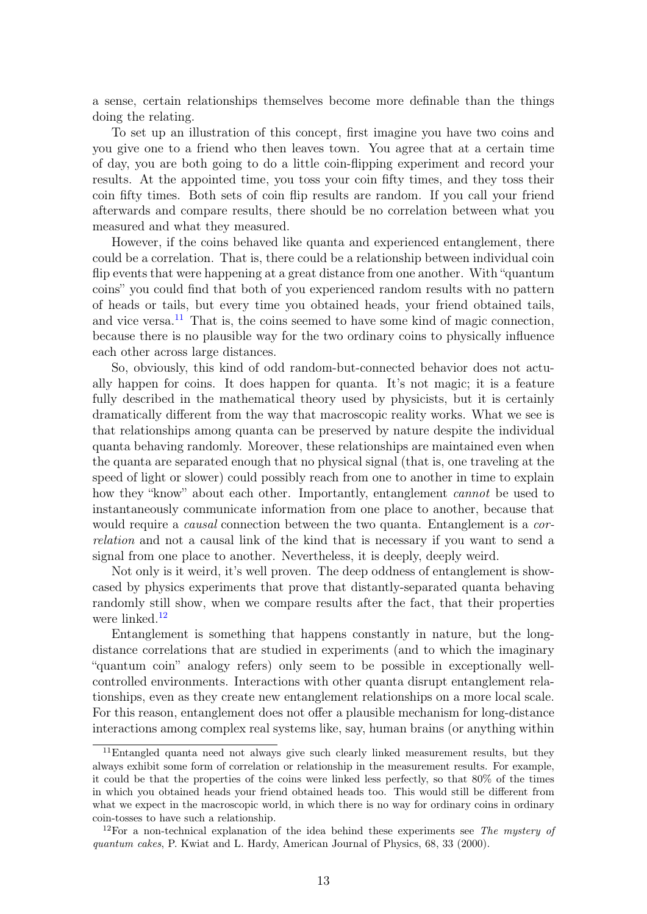a sense, certain relationships themselves become more definable than the things doing the relating.

To set up an illustration of this concept, first imagine you have two coins and you give one to a friend who then leaves town. You agree that at a certain time of day, you are both going to do a little coin-flipping experiment and record your results. At the appointed time, you toss your coin fifty times, and they toss their coin fifty times. Both sets of coin flip results are random. If you call your friend afterwards and compare results, there should be no correlation between what you measured and what they measured.

However, if the coins behaved like quanta and experienced entanglement, there could be a correlation. That is, there could be a relationship between individual coin flip events that were happening at a great distance from one another. With "quantum coins" you could find that both of you experienced random results with no pattern of heads or tails, but every time you obtained heads, your friend obtained tails, and vice versa.<sup>[11](#page-12-0)</sup> That is, the coins seemed to have some kind of magic connection, because there is no plausible way for the two ordinary coins to physically influence each other across large distances.

So, obviously, this kind of odd random-but-connected behavior does not actually happen for coins. It does happen for quanta. It's not magic; it is a feature fully described in the mathematical theory used by physicists, but it is certainly dramatically different from the way that macroscopic reality works. What we see is that relationships among quanta can be preserved by nature despite the individual quanta behaving randomly. Moreover, these relationships are maintained even when the quanta are separated enough that no physical signal (that is, one traveling at the speed of light or slower) could possibly reach from one to another in time to explain how they "know" about each other. Importantly, entanglement *cannot* be used to instantaneously communicate information from one place to another, because that would require a *causal* connection between the two quanta. Entanglement is a *cor*relation and not a causal link of the kind that is necessary if you want to send a signal from one place to another. Nevertheless, it is deeply, deeply weird.

Not only is it weird, it's well proven. The deep oddness of entanglement is showcased by physics experiments that prove that distantly-separated quanta behaving randomly still show, when we compare results after the fact, that their properties were linked.<sup>[12](#page-12-1)</sup>

Entanglement is something that happens constantly in nature, but the longdistance correlations that are studied in experiments (and to which the imaginary "quantum coin" analogy refers) only seem to be possible in exceptionally wellcontrolled environments. Interactions with other quanta disrupt entanglement relationships, even as they create new entanglement relationships on a more local scale. For this reason, entanglement does not offer a plausible mechanism for long-distance interactions among complex real systems like, say, human brains (or anything within

<span id="page-12-0"></span><sup>11</sup>Entangled quanta need not always give such clearly linked measurement results, but they always exhibit some form of correlation or relationship in the measurement results. For example, it could be that the properties of the coins were linked less perfectly, so that 80% of the times in which you obtained heads your friend obtained heads too. This would still be different from what we expect in the macroscopic world, in which there is no way for ordinary coins in ordinary coin-tosses to have such a relationship.

<span id="page-12-1"></span><sup>&</sup>lt;sup>12</sup>For a non-technical explanation of the idea behind these experiments see The mystery of quantum cakes, P. Kwiat and L. Hardy, American Journal of Physics, 68, 33 (2000).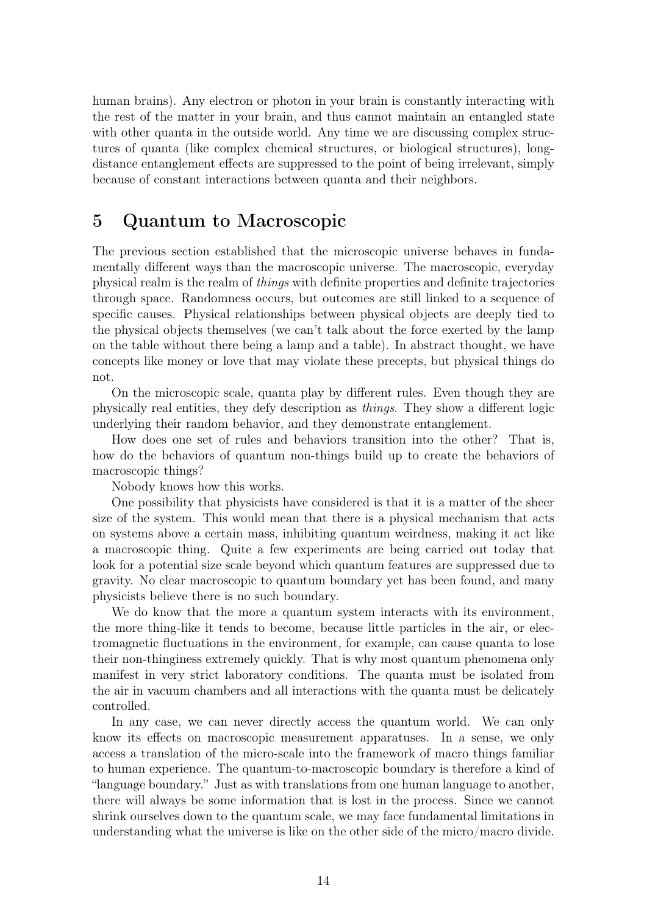human brains). Any electron or photon in your brain is constantly interacting with the rest of the matter in your brain, and thus cannot maintain an entangled state with other quanta in the outside world. Any time we are discussing complex structures of quanta (like complex chemical structures, or biological structures), longdistance entanglement effects are suppressed to the point of being irrelevant, simply because of constant interactions between quanta and their neighbors.

## <span id="page-13-0"></span>5 Quantum to Macroscopic

The previous section established that the microscopic universe behaves in fundamentally different ways than the macroscopic universe. The macroscopic, everyday physical realm is the realm of things with definite properties and definite trajectories through space. Randomness occurs, but outcomes are still linked to a sequence of specific causes. Physical relationships between physical objects are deeply tied to the physical objects themselves (we can't talk about the force exerted by the lamp on the table without there being a lamp and a table). In abstract thought, we have concepts like money or love that may violate these precepts, but physical things do not.

On the microscopic scale, quanta play by different rules. Even though they are physically real entities, they defy description as things. They show a different logic underlying their random behavior, and they demonstrate entanglement.

How does one set of rules and behaviors transition into the other? That is, how do the behaviors of quantum non-things build up to create the behaviors of macroscopic things?

Nobody knows how this works.

One possibility that physicists have considered is that it is a matter of the sheer size of the system. This would mean that there is a physical mechanism that acts on systems above a certain mass, inhibiting quantum weirdness, making it act like a macroscopic thing. Quite a few experiments are being carried out today that look for a potential size scale beyond which quantum features are suppressed due to gravity. No clear macroscopic to quantum boundary yet has been found, and many physicists believe there is no such boundary.

We do know that the more a quantum system interacts with its environment, the more thing-like it tends to become, because little particles in the air, or electromagnetic fluctuations in the environment, for example, can cause quanta to lose their non-thinginess extremely quickly. That is why most quantum phenomena only manifest in very strict laboratory conditions. The quanta must be isolated from the air in vacuum chambers and all interactions with the quanta must be delicately controlled.

In any case, we can never directly access the quantum world. We can only know its effects on macroscopic measurement apparatuses. In a sense, we only access a translation of the micro-scale into the framework of macro things familiar to human experience. The quantum-to-macroscopic boundary is therefore a kind of "language boundary." Just as with translations from one human language to another, there will always be some information that is lost in the process. Since we cannot shrink ourselves down to the quantum scale, we may face fundamental limitations in understanding what the universe is like on the other side of the micro/macro divide.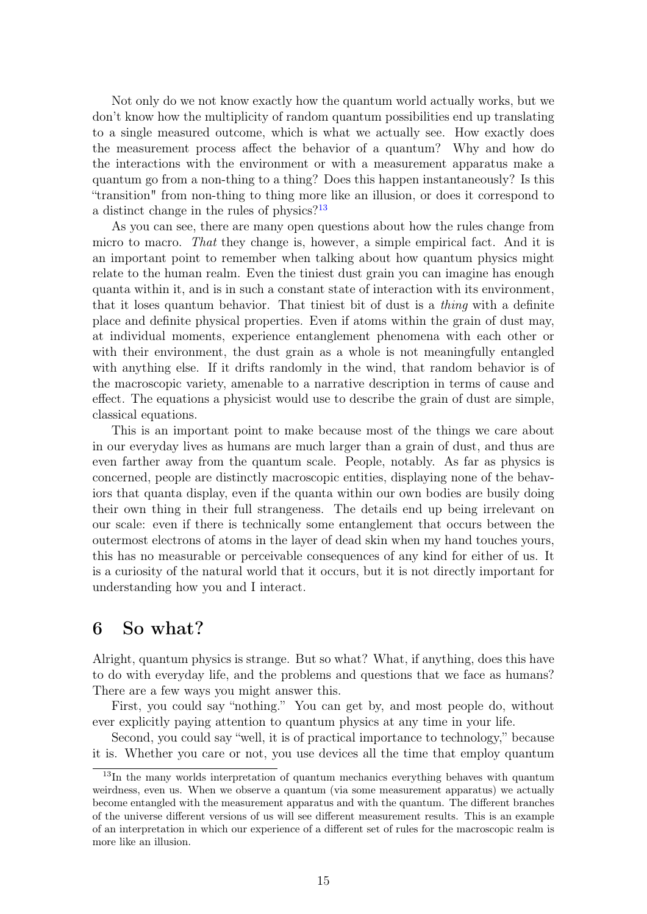Not only do we not know exactly how the quantum world actually works, but we don't know how the multiplicity of random quantum possibilities end up translating to a single measured outcome, which is what we actually see. How exactly does the measurement process affect the behavior of a quantum? Why and how do the interactions with the environment or with a measurement apparatus make a quantum go from a non-thing to a thing? Does this happen instantaneously? Is this "transition" from non-thing to thing more like an illusion, or does it correspond to a distinct change in the rules of physics? $13$ 

As you can see, there are many open questions about how the rules change from micro to macro. That they change is, however, a simple empirical fact. And it is an important point to remember when talking about how quantum physics might relate to the human realm. Even the tiniest dust grain you can imagine has enough quanta within it, and is in such a constant state of interaction with its environment, that it loses quantum behavior. That tiniest bit of dust is a thing with a definite place and definite physical properties. Even if atoms within the grain of dust may, at individual moments, experience entanglement phenomena with each other or with their environment, the dust grain as a whole is not meaningfully entangled with anything else. If it drifts randomly in the wind, that random behavior is of the macroscopic variety, amenable to a narrative description in terms of cause and effect. The equations a physicist would use to describe the grain of dust are simple, classical equations.

This is an important point to make because most of the things we care about in our everyday lives as humans are much larger than a grain of dust, and thus are even farther away from the quantum scale. People, notably. As far as physics is concerned, people are distinctly macroscopic entities, displaying none of the behaviors that quanta display, even if the quanta within our own bodies are busily doing their own thing in their full strangeness. The details end up being irrelevant on our scale: even if there is technically some entanglement that occurs between the outermost electrons of atoms in the layer of dead skin when my hand touches yours, this has no measurable or perceivable consequences of any kind for either of us. It is a curiosity of the natural world that it occurs, but it is not directly important for understanding how you and I interact.

## <span id="page-14-0"></span>6 So what?

Alright, quantum physics is strange. But so what? What, if anything, does this have to do with everyday life, and the problems and questions that we face as humans? There are a few ways you might answer this.

First, you could say "nothing." You can get by, and most people do, without ever explicitly paying attention to quantum physics at any time in your life.

Second, you could say "well, it is of practical importance to technology," because it is. Whether you care or not, you use devices all the time that employ quantum

<span id="page-14-1"></span><sup>&</sup>lt;sup>13</sup>In the many worlds interpretation of quantum mechanics everything behaves with quantum weirdness, even us. When we observe a quantum (via some measurement apparatus) we actually become entangled with the measurement apparatus and with the quantum. The different branches of the universe different versions of us will see different measurement results. This is an example of an interpretation in which our experience of a different set of rules for the macroscopic realm is more like an illusion.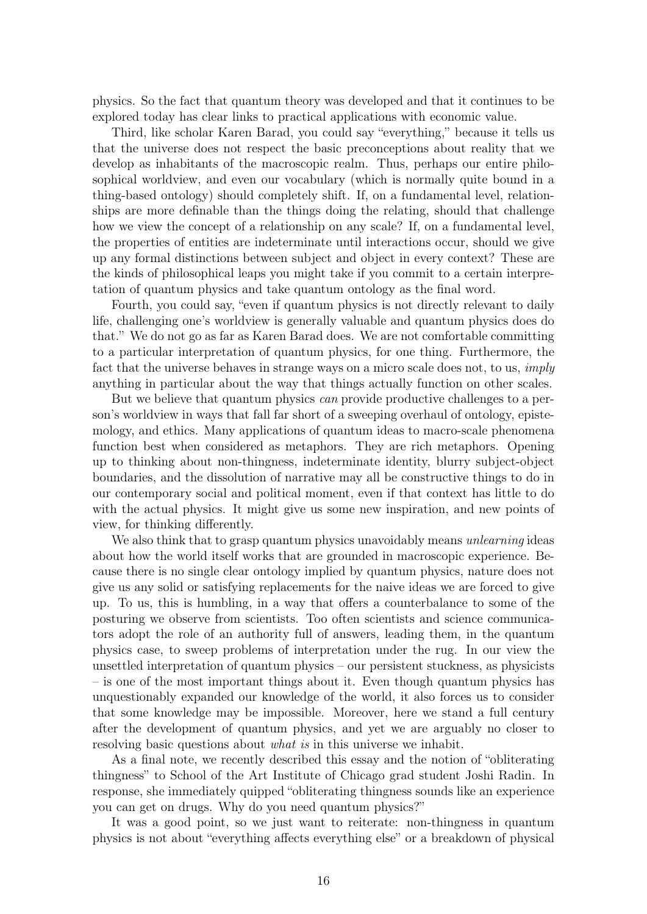physics. So the fact that quantum theory was developed and that it continues to be explored today has clear links to practical applications with economic value.

Third, like scholar Karen Barad, you could say "everything," because it tells us that the universe does not respect the basic preconceptions about reality that we develop as inhabitants of the macroscopic realm. Thus, perhaps our entire philosophical worldview, and even our vocabulary (which is normally quite bound in a thing-based ontology) should completely shift. If, on a fundamental level, relationships are more definable than the things doing the relating, should that challenge how we view the concept of a relationship on any scale? If, on a fundamental level, the properties of entities are indeterminate until interactions occur, should we give up any formal distinctions between subject and object in every context? These are the kinds of philosophical leaps you might take if you commit to a certain interpretation of quantum physics and take quantum ontology as the final word.

Fourth, you could say, "even if quantum physics is not directly relevant to daily life, challenging one's worldview is generally valuable and quantum physics does do that." We do not go as far as Karen Barad does. We are not comfortable committing to a particular interpretation of quantum physics, for one thing. Furthermore, the fact that the universe behaves in strange ways on a micro scale does not, to us, *imply* anything in particular about the way that things actually function on other scales.

But we believe that quantum physics can provide productive challenges to a person's worldview in ways that fall far short of a sweeping overhaul of ontology, epistemology, and ethics. Many applications of quantum ideas to macro-scale phenomena function best when considered as metaphors. They are rich metaphors. Opening up to thinking about non-thingness, indeterminate identity, blurry subject-object boundaries, and the dissolution of narrative may all be constructive things to do in our contemporary social and political moment, even if that context has little to do with the actual physics. It might give us some new inspiration, and new points of view, for thinking differently.

We also think that to grasp quantum physics unavoidably means *unlearning* ideas about how the world itself works that are grounded in macroscopic experience. Because there is no single clear ontology implied by quantum physics, nature does not give us any solid or satisfying replacements for the naive ideas we are forced to give up. To us, this is humbling, in a way that offers a counterbalance to some of the posturing we observe from scientists. Too often scientists and science communicators adopt the role of an authority full of answers, leading them, in the quantum physics case, to sweep problems of interpretation under the rug. In our view the unsettled interpretation of quantum physics – our persistent stuckness, as physicists – is one of the most important things about it. Even though quantum physics has unquestionably expanded our knowledge of the world, it also forces us to consider that some knowledge may be impossible. Moreover, here we stand a full century after the development of quantum physics, and yet we are arguably no closer to resolving basic questions about what is in this universe we inhabit.

As a final note, we recently described this essay and the notion of "obliterating thingness" to School of the Art Institute of Chicago grad student Joshi Radin. In response, she immediately quipped "obliterating thingness sounds like an experience you can get on drugs. Why do you need quantum physics?"

It was a good point, so we just want to reiterate: non-thingness in quantum physics is not about "everything affects everything else" or a breakdown of physical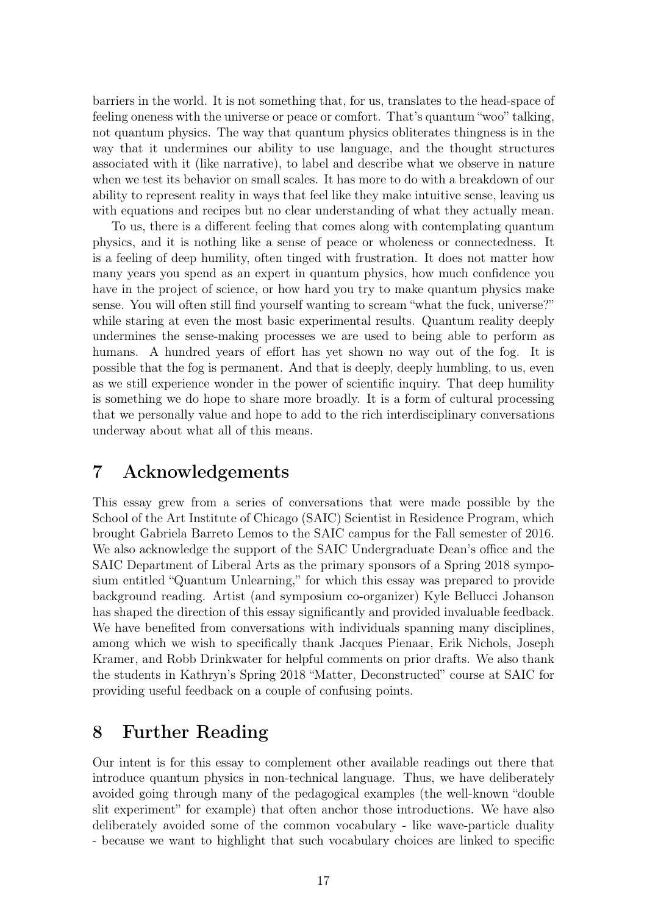barriers in the world. It is not something that, for us, translates to the head-space of feeling oneness with the universe or peace or comfort. That's quantum "woo" talking, not quantum physics. The way that quantum physics obliterates thingness is in the way that it undermines our ability to use language, and the thought structures associated with it (like narrative), to label and describe what we observe in nature when we test its behavior on small scales. It has more to do with a breakdown of our ability to represent reality in ways that feel like they make intuitive sense, leaving us with equations and recipes but no clear understanding of what they actually mean.

To us, there is a different feeling that comes along with contemplating quantum physics, and it is nothing like a sense of peace or wholeness or connectedness. It is a feeling of deep humility, often tinged with frustration. It does not matter how many years you spend as an expert in quantum physics, how much confidence you have in the project of science, or how hard you try to make quantum physics make sense. You will often still find yourself wanting to scream "what the fuck, universe?" while staring at even the most basic experimental results. Quantum reality deeply undermines the sense-making processes we are used to being able to perform as humans. A hundred years of effort has yet shown no way out of the fog. It is possible that the fog is permanent. And that is deeply, deeply humbling, to us, even as we still experience wonder in the power of scientific inquiry. That deep humility is something we do hope to share more broadly. It is a form of cultural processing that we personally value and hope to add to the rich interdisciplinary conversations underway about what all of this means.

## <span id="page-16-0"></span>7 Acknowledgements

This essay grew from a series of conversations that were made possible by the School of the Art Institute of Chicago (SAIC) Scientist in Residence Program, which brought Gabriela Barreto Lemos to the SAIC campus for the Fall semester of 2016. We also acknowledge the support of the SAIC Undergraduate Dean's office and the SAIC Department of Liberal Arts as the primary sponsors of a Spring 2018 symposium entitled "Quantum Unlearning," for which this essay was prepared to provide background reading. Artist (and symposium co-organizer) Kyle Bellucci Johanson has shaped the direction of this essay significantly and provided invaluable feedback. We have benefited from conversations with individuals spanning many disciplines, among which we wish to specifically thank Jacques Pienaar, Erik Nichols, Joseph Kramer, and Robb Drinkwater for helpful comments on prior drafts. We also thank the students in Kathryn's Spring 2018 "Matter, Deconstructed" course at SAIC for providing useful feedback on a couple of confusing points.

## <span id="page-16-1"></span>8 Further Reading

Our intent is for this essay to complement other available readings out there that introduce quantum physics in non-technical language. Thus, we have deliberately avoided going through many of the pedagogical examples (the well-known "double slit experiment" for example) that often anchor those introductions. We have also deliberately avoided some of the common vocabulary - like wave-particle duality - because we want to highlight that such vocabulary choices are linked to specific